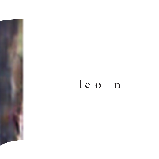## le o n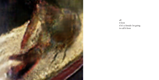

all it leon if it's a female i'm going to call it leon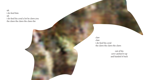uh i do feed him uh i do feed his coral a lot he claws you the claws the claws the claws the

> claw claw i do feed his coral the claws the claws the claws

> > out of his cave i picked it up and handed it back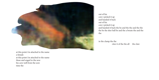

out of his cave i picked it up and handed it back out of his cave i picked it up and handed it back the be and the the and the the the be the sher ball be and the a breate the and the the

in the clamp the the claw it of the the all the claw

at this point i'm attached to the name a female at this point i'm attached to the name these and enged to the new his cave well from the sore time the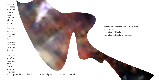the came for a lot a lot of the same at tank some find a lot of his cave the the cave to the a lot of the same to the the cave a lot of the surm the for have to the cave a lot of the shen wat have this is a lot of the some fish on

pester lion dewn soof and groma in end armesticls

downtank house i'm beft of his claws i whak in lest he's a fast of his claws i he's a fast of his claws i bat that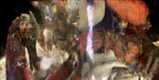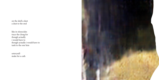on the shell a dust a dust to the ond

like in oloyecides trace the clong for though actually i would have to though actually i would have to tank to the one him

soterysell make for a cath